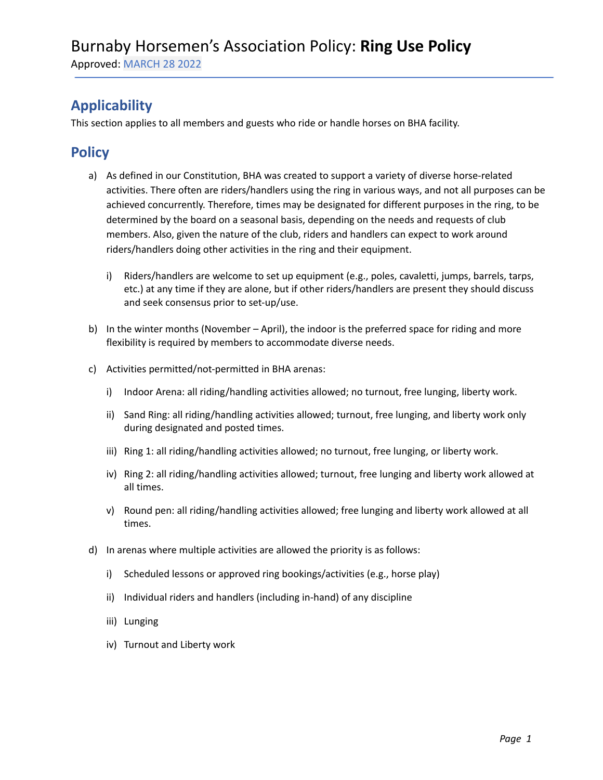Approved: MARCH 28 2022

## **Applicability**

This section applies to all members and guests who ride or handle horses on BHA facility.

### **Policy**

- a) As defined in our Constitution, BHA was created to support a variety of diverse horse-related activities. There often are riders/handlers using the ring in various ways, and not all purposes can be achieved concurrently. Therefore, times may be designated for different purposes in the ring, to be determined by the board on a seasonal basis, depending on the needs and requests of club members. Also, given the nature of the club, riders and handlers can expect to work around riders/handlers doing other activities in the ring and their equipment.
	- i) Riders/handlers are welcome to set up equipment (e.g., poles, cavaletti, jumps, barrels, tarps, etc.) at any time if they are alone, but if other riders/handlers are present they should discuss and seek consensus prior to set-up/use.
- b) In the winter months (November April), the indoor is the preferred space for riding and more flexibility is required by members to accommodate diverse needs.
- c) Activities permitted/not-permitted in BHA arenas:
	- i) Indoor Arena: all riding/handling activities allowed; no turnout, free lunging, liberty work.
	- ii) Sand Ring: all riding/handling activities allowed; turnout, free lunging, and liberty work only during designated and posted times.
	- iii) Ring 1: all riding/handling activities allowed; no turnout, free lunging, or liberty work.
	- iv) Ring 2: all riding/handling activities allowed; turnout, free lunging and liberty work allowed at all times.
	- v) Round pen: all riding/handling activities allowed; free lunging and liberty work allowed at all times.
- d) In arenas where multiple activities are allowed the priority is as follows:
	- i) Scheduled lessons or approved ring bookings/activities (e.g., horse play)
	- ii) Individual riders and handlers (including in-hand) of any discipline
	- iii) Lunging
	- iv) Turnout and Liberty work